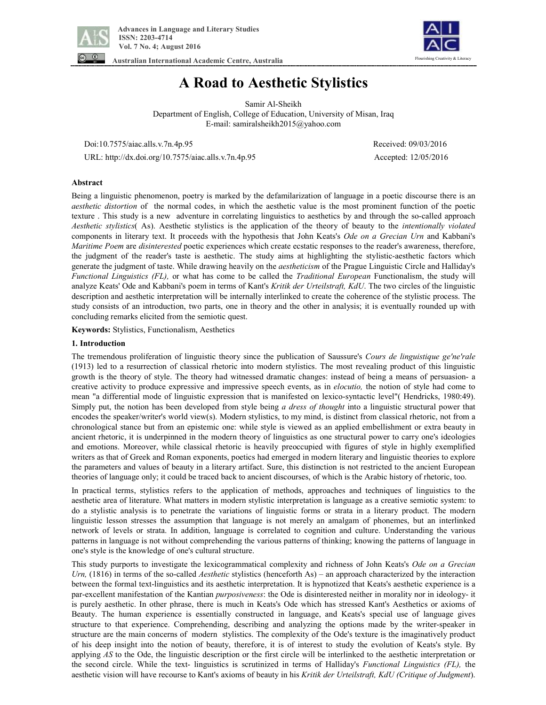



**Australian International Academic Centre, Australia** 

# **A Road to Aesthetic Stylistics**

Samir Al-Sheikh Department of English, College of Education, University of Misan, Iraq E-mail: samiralsheikh2015@yahoo.com

Doi:10.7575/aiac.alls.v.7n.4p.95 Received: 09/03/2016

URL: http://dx.doi.org/10.7575/aiac.alls.v.7n.4p.95 Accepted: 12/05/2016

## **Abstract**

Being a linguistic phenomenon, poetry is marked by the defamilarization of language in a poetic discourse there is an *aesthetic distortion* of the normal codes, in which the aesthetic value is the most prominent function of the poetic texture . This study is a new adventure in correlating linguistics to aesthetics by and through the so-called approach *Aesthetic stylistics*( As). Aesthetic stylistics is the application of the theory of beauty to the *intentionally violated* components in literary text. It proceeds with the hypothesis that John Keats's *Ode on a Grecian Urn* and Kabbani's *Maritime Poem* are *disinterested* poetic experiences which create ecstatic responses to the reader's awareness, therefore, the judgment of the reader's taste is aesthetic. The study aims at highlighting the stylistic-aesthetic factors which generate the judgment of taste. While drawing heavily on the *aestheticism* of the Prague Linguistic Circle and Halliday's *Functional Linguistics (FL),* or what has come to be called the *Traditional European* Functionalism, the study will analyze Keats' Ode and Kabbani's poem in terms of Kant's *Kritik der Urteilstraft, KdU*. The two circles of the linguistic description and aesthetic interpretation will be internally interlinked to create the coherence of the stylistic process. The study consists of an introduction, two parts, one in theory and the other in analysis; it is eventually rounded up with concluding remarks elicited from the semiotic quest.

**Keywords:** Stylistics, Functionalism, Aesthetics

### **1. Introduction**

The tremendous proliferation of linguistic theory since the publication of Saussure's *Cours de linguistique ge'ne'rale* (1913) led to a resurrection of classical rhetoric into modern stylistics. The most revealing product of this linguistic growth is the theory of style. The theory had witnessed dramatic changes: instead of being a means of persuasion- a creative activity to produce expressive and impressive speech events, as in *elocutio,* the notion of style had come to mean "a differential mode of linguistic expression that is manifested on lexico-syntactic level"( Hendricks, 1980:49). Simply put, the notion has been developed from style being *a dress of thought* into a linguistic structural power that encodes the speaker/writer's world view(s). Modern stylistics, to my mind, is distinct from classical rhetoric, not from a chronological stance but from an epistemic one: while style is viewed as an applied embellishment or extra beauty in ancient rhetoric, it is underpinned in the modern theory of linguistics as one structural power to carry one's ideologies and emotions. Moreover, while classical rhetoric is heavily preoccupied with figures of style in highly exemplified writers as that of Greek and Roman exponents, poetics had emerged in modern literary and linguistic theories to explore the parameters and values of beauty in a literary artifact. Sure, this distinction is not restricted to the ancient European theories of language only; it could be traced back to ancient discourses, of which is the Arabic history of rhetoric, too.

In practical terms, stylistics refers to the application of methods, approaches and techniques of linguistics to the aesthetic area of literature. What matters in modern stylistic interpretation is language as a creative semiotic system: to do a stylistic analysis is to penetrate the variations of linguistic forms or strata in a literary product. The modern linguistic lesson stresses the assumption that language is not merely an amalgam of phonemes, but an interlinked network of levels or strata. In addition, language is correlated to cognition and culture. Understanding the various patterns in language is not without comprehending the various patterns of thinking; knowing the patterns of language in one's style is the knowledge of one's cultural structure.

This study purports to investigate the lexicogrammatical complexity and richness of John Keats's *Ode on a Grecian Urn,* (1816) in terms of the so-called *Aesthetic* stylistics (henceforth As) – an approach characterized by the interaction between the formal text-linguistics and its aesthetic interpretation. It is hypnotized that Keats's aesthetic experience is a par-excellent manifestation of the Kantian *purposiveness*: the Ode is disinterested neither in morality nor in ideology- it is purely aesthetic. In other phrase, there is much in Keats's Ode which has stressed Kant's Aesthetics or axioms of Beauty. The human experience is essentially constructed in language, and Keats's special use of language gives structure to that experience. Comprehending, describing and analyzing the options made by the writer-speaker in structure are the main concerns of modern stylistics. The complexity of the Ode's texture is the imaginatively product of his deep insight into the notion of beauty, therefore, it is of interest to study the evolution of Keats's style. By applying *AS* to the Ode, the linguistic description or the first circle will be interlinked to the aesthetic interpretation or the second circle. While the text- linguistics is scrutinized in terms of Halliday's *Functional Linguistics (FL),* the aesthetic vision will have recourse to Kant's axioms of beauty in his *Kritik der Urteilstraft, KdU (Critique of Judgment*).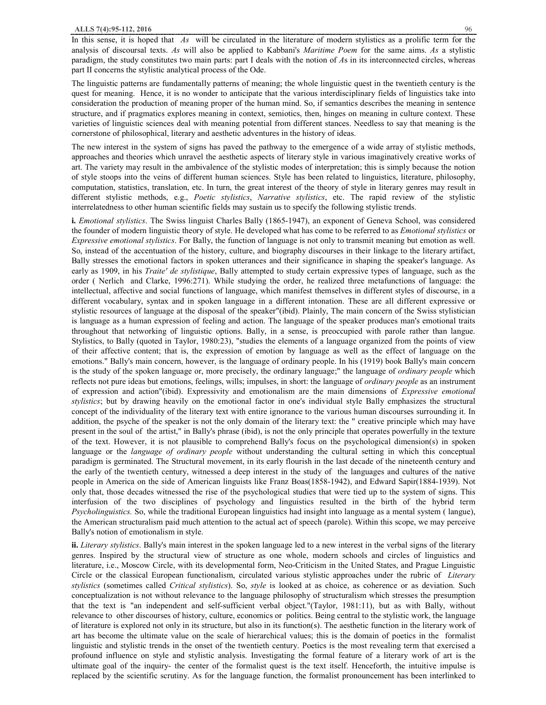In this sense, it is hoped that *As* will be circulated in the literature of modern stylistics as a prolific term for the analysis of discoursal texts. *As* will also be applied to Kabbani's *Maritime Poem* for the same aims. *As* a stylistic paradigm, the study constitutes two main parts: part I deals with the notion of *A*s in its interconnected circles, whereas part II concerns the stylistic analytical process of the Ode.

The linguistic patterns are fundamentally patterns of meaning; the whole linguistic quest in the twentieth century is the quest for meaning. Hence, it is no wonder to anticipate that the various interdisciplinary fields of linguistics take into consideration the production of meaning proper of the human mind. So, if semantics describes the meaning in sentence structure, and if pragmatics explores meaning in context, semiotics, then, hinges on meaning in culture context. These varieties of linguistic sciences deal with meaning potential from different stances. Needless to say that meaning is the cornerstone of philosophical, literary and aesthetic adventures in the history of ideas.

The new interest in the system of signs has paved the pathway to the emergence of a wide array of stylistic methods, approaches and theories which unravel the aesthetic aspects of literary style in various imaginatively creative works of art. The variety may result in the ambivalence of the stylistic modes of interpretation; this is simply because the notion of style stoops into the veins of different human sciences. Style has been related to linguistics, literature, philosophy, computation, statistics, translation, etc. In turn, the great interest of the theory of style in literary genres may result in different stylistic methods, e.g., *Poetic stylistics*, *Narrative stylistics*, etc. The rapid review of the stylistic interrelatedness to other human scientific fields may sustain us to specify the following stylistic trends.

**i.** *Emotional stylistics*. The Swiss linguist Charles Bally (1865-1947), an exponent of Geneva School, was considered the founder of modern linguistic theory of style. He developed what has come to be referred to as *Emotional stylistics* or *Expressive emotional stylistics*. For Bally, the function of language is not only to transmit meaning but emotion as well. So, instead of the accentuation of the history, culture, and biography discourses in their linkage to the literary artifact, Bally stresses the emotional factors in spoken utterances and their significance in shaping the speaker's language. As early as 1909, in his *Traite' de stylistique*, Bally attempted to study certain expressive types of language, such as the order ( Nerlich and Clarke, 1996:271). While studying the order, he realized three metafunctions of language: the intellectual, affective and social functions of language, which manifest themselves in different styles of discourse, in a different vocabulary, syntax and in spoken language in a different intonation. These are all different expressive or stylistic resources of language at the disposal of the speaker"(ibid). Plainly, The main concern of the Swiss stylistician is language as a human expression of feeling and action. The language of the speaker produces man's emotional traits throughout that networking of linguistic options. Bally, in a sense, is preoccupied with parole rather than langue. Stylistics, to Bally (quoted in Taylor, 1980:23), "studies the elements of a language organized from the points of view of their affective content; that is, the expression of emotion by language as well as the effect of language on the emotions." Bally's main concern, however, is the language of ordinary people. In his (1919) book Bally's main concern is the study of the spoken language or, more precisely, the ordinary language;" the language of *ordinary people* which reflects not pure ideas but emotions, feelings, wills; impulses, in short: the language of *ordinary people* as an instrument of expression and action"(ibid). Expressivity and emotionalism are the main dimensions of *Expressive emotional stylistics*; but by drawing heavily on the emotional factor in one's individual style Bally emphasizes the structural concept of the individuality of the literary text with entire ignorance to the various human discourses surrounding it. In addition, the psyche of the speaker is not the only domain of the literary text: the " creative principle which may have present in the soul of the artist," in Bally's phrase (ibid), is not the only principle that operates powerfully in the texture of the text. However, it is not plausible to comprehend Bally's focus on the psychological dimension(s) in spoken language or the *language of ordinary people* without understanding the cultural setting in which this conceptual paradigm is germinated. The Structural movement, in its early flourish in the last decade of the nineteenth century and the early of the twentieth century, witnessed a deep interest in the study of the languages and cultures of the native people in America on the side of American linguists like Franz Boas(1858-1942), and Edward Sapir(1884-1939). Not only that, those decades witnessed the rise of the psychological studies that were tied up to the system of signs. This interfusion of the two disciplines of psychology and linguistics resulted in the birth of the hybrid term *Psycholinguistics.* So, while the traditional European linguistics had insight into language as a mental system ( langue), the American structuralism paid much attention to the actual act of speech (parole). Within this scope, we may perceive Bally's notion of emotionalism in style.

**ii.** *Literary stylistics*. Bally's main interest in the spoken language led to a new interest in the verbal signs of the literary genres. Inspired by the structural view of structure as one whole, modern schools and circles of linguistics and literature, i.e., Moscow Circle, with its developmental form, Neo-Criticism in the United States, and Prague Linguistic Circle or the classical European functionalism, circulated various stylistic approaches under the rubric of *Literary stylistics* (sometimes called *Critical stylistics*). So, *style* is looked at as choice, as coherence or as deviation. Such conceptualization is not without relevance to the language philosophy of structuralism which stresses the presumption that the text is "an independent and self-sufficient verbal object."(Taylor, 1981:11), but as with Bally, without relevance to other discourses of history, culture, economics or politics. Being central to the stylistic work, the language of literature is explored not only in its structure, but also in its function(s). The aesthetic function in the literary work of art has become the ultimate value on the scale of hierarchical values; this is the domain of poetics in the formalist linguistic and stylistic trends in the onset of the twentieth century. Poetics is the most revealing term that exercised a profound influence on style and stylistic analysis. Investigating the formal feature of a literary work of art is the ultimate goal of the inquiry- the center of the formalist quest is the text itself. Henceforth, the intuitive impulse is replaced by the scientific scrutiny. As for the language function, the formalist pronouncement has been interlinked to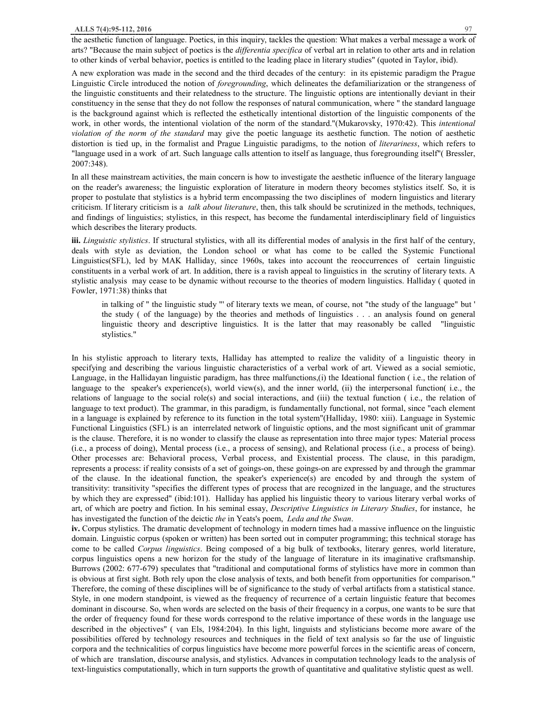the aesthetic function of language. Poetics, in this inquiry, tackles the question: What makes a verbal message a work of arts? "Because the main subject of poetics is the *differentia specifica* of verbal art in relation to other arts and in relation to other kinds of verbal behavior, poetics is entitled to the leading place in literary studies" (quoted in Taylor, ibid).

A new exploration was made in the second and the third decades of the century: in its epistemic paradigm the Prague Linguistic Circle introduced the notion of *foregrounding*, which delineates the defamiliarization or the strangeness of the linguistic constituents and their relatedness to the structure. The linguistic options are intentionally deviant in their constituency in the sense that they do not follow the responses of natural communication, where " the standard language is the background against which is reflected the esthetically intentional distortion of the linguistic components of the work, in other words, the intentional violation of the norm of the standard."(Mukarovsky, 1970:42). This *intentional violation of the norm of the standard* may give the poetic language its aesthetic function. The notion of aesthetic distortion is tied up, in the formalist and Prague Linguistic paradigms, to the notion of *literariness*, which refers to "language used in a work of art. Such language calls attention to itself as language, thus foregrounding itself"( Bressler, 2007:348).

In all these mainstream activities, the main concern is how to investigate the aesthetic influence of the literary language on the reader's awareness; the linguistic exploration of literature in modern theory becomes stylistics itself. So, it is proper to postulate that stylistics is a hybrid term encompassing the two disciplines of modern linguistics and literary criticism. If literary criticism is a *talk about literature*, then, this talk should be scrutinized in the methods, techniques, and findings of linguistics; stylistics, in this respect, has become the fundamental interdisciplinary field of linguistics which describes the literary products.

**iii.** *Linguistic stylistics*. If structural stylistics, with all its differential modes of analysis in the first half of the century, deals with style as deviation, the London school or what has come to be called the Systemic Functional Linguistics(SFL), led by MAK Halliday, since 1960s, takes into account the reoccurrences of certain linguistic constituents in a verbal work of art. In addition, there is a ravish appeal to linguistics in the scrutiny of literary texts. A stylistic analysis may cease to be dynamic without recourse to the theories of modern linguistics. Halliday ( quoted in Fowler, 1971:38) thinks that

in talking of " the linguistic study "' of literary texts we mean, of course, not "the study of the language" but ' the study ( of the language) by the theories and methods of linguistics . . . an analysis found on general linguistic theory and descriptive linguistics. It is the latter that may reasonably be called "linguistic stylistics."

In his stylistic approach to literary texts, Halliday has attempted to realize the validity of a linguistic theory in specifying and describing the various linguistic characteristics of a verbal work of art. Viewed as a social semiotic, Language, in the Hallidayan linguistic paradigm, has three malfunctions,(i) the Ideational function ( i.e., the relation of language to the speaker's experience(s), world view(s), and the inner world, (ii) the interpersonal function( i.e., the relations of language to the social role(s) and social interactions, and (iii) the textual function ( i.e., the relation of language to text product). The grammar, in this paradigm, is fundamentally functional, not formal, since "each element in a language is explained by reference to its function in the total system"(Halliday, 1980: xiii). Language in Systemic Functional Linguistics (SFL) is an interrelated network of linguistic options, and the most significant unit of grammar is the clause. Therefore, it is no wonder to classify the clause as representation into three major types: Material process (i.e., a process of doing), Mental process (i.e., a process of sensing), and Relational process (i.e., a process of being). Other processes are: Behavioral process, Verbal process, and Existential process. The clause, in this paradigm, represents a process: if reality consists of a set of goings-on, these goings-on are expressed by and through the grammar of the clause. In the ideational function, the speaker's experience(s) are encoded by and through the system of transitivity: transitivity "specifies the different types of process that are recognized in the language, and the structures by which they are expressed" (ibid:101). Halliday has applied his linguistic theory to various literary verbal works of art, of which are poetry and fiction. In his seminal essay, *Descriptive Linguistics in Literary Studies*, for instance, he has investigated the function of the deictic *the* in Yeats's poem, *Leda and the Swan*.

**iv.** Corpus stylistics. The dramatic development of technology in modern times had a massive influence on the linguistic domain. Linguistic corpus (spoken or written) has been sorted out in computer programming; this technical storage has come to be called *Corpus linguistics*. Being composed of a big bulk of textbooks, literary genres, world literature, corpus linguistics opens a new horizon for the study of the language of literature in its imaginative craftsmanship. Burrows (2002: 677-679) speculates that "traditional and computational forms of stylistics have more in common than is obvious at first sight. Both rely upon the close analysis of texts, and both benefit from opportunities for comparison." Therefore, the coming of these disciplines will be of significance to the study of verbal artifacts from a statistical stance. Style, in one modern standpoint, is viewed as the frequency of recurrence of a certain linguistic feature that becomes dominant in discourse. So, when words are selected on the basis of their frequency in a corpus, one wants to be sure that the order of frequency found for these words correspond to the relative importance of these words in the language use described in the objectives" ( van Els, 1984:204). In this light, linguists and stylisticians become more aware of the possibilities offered by technology resources and techniques in the field of text analysis so far the use of linguistic corpora and the technicalities of corpus linguistics have become more powerful forces in the scientific areas of concern, of which are translation, discourse analysis, and stylistics. Advances in computation technology leads to the analysis of text-linguistics computationally, which in turn supports the growth of quantitative and qualitative stylistic quest as well.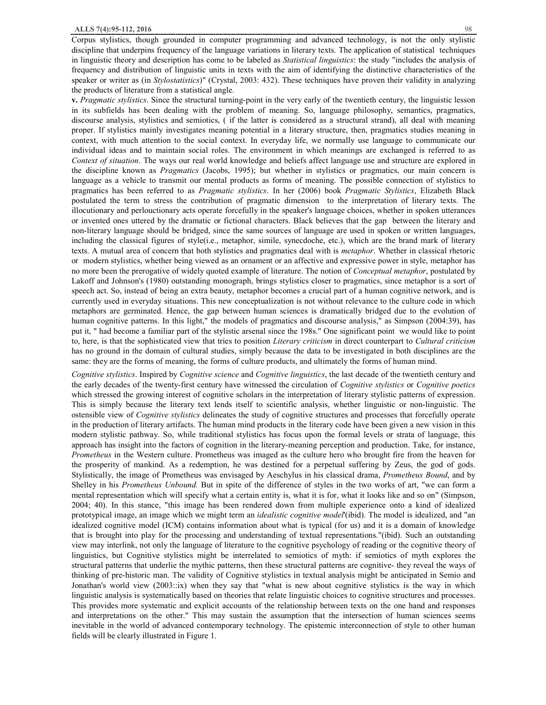Corpus stylistics, though grounded in computer programming and advanced technology, is not the only stylistic discipline that underpins frequency of the language variations in literary texts. The application of statistical techniques in linguistic theory and description has come to be labeled as *Statistical linguistics*: the study "includes the analysis of frequency and distribution of linguistic units in texts with the aim of identifying the distinctive characteristics of the speaker or writer as (in *Stylostatistics*)" (Crystal, 2003: 432). These techniques have proven their validity in analyzing the products of literature from a statistical angle.

**v.** *Pragmatic stylistics*. Since the structural turning-point in the very early of the twentieth century, the linguistic lesson in its subfields has been dealing with the problem of meaning. So, language philosophy, semantics, pragmatics, discourse analysis, stylistics and semiotics, ( if the latter is considered as a structural strand), all deal with meaning proper. If stylistics mainly investigates meaning potential in a literary structure, then, pragmatics studies meaning in context, with much attention to the social context. In everyday life, we normally use language to communicate our individual ideas and to maintain social roles. The environment in which meanings are exchanged is referred to as *Context of situation*. The ways our real world knowledge and beliefs affect language use and structure are explored in the discipline known as *Pragmatics* (Jacobs, 1995); but whether in stylistics or pragmatics, our main concern is language as a vehicle to transmit our mental products as forms of meaning. The possible connection of stylistics to pragmatics has been referred to as *Pragmatic stylistics*. In her (2006) book *Pragmatic Stylistics*, Elizabeth Black postulated the term to stress the contribution of pragmatic dimension to the interpretation of literary texts. The illocutionary and perlouctionary acts operate forcefully in the speaker's language choices, whether in spoken utterances or invented ones uttered by the dramatic or fictional characters. Black believes that the gap between the literary and non-literary language should be bridged, since the same sources of language are used in spoken or written languages, including the classical figures of style(i.e., metaphor, simile, synecdoche, etc.), which are the brand mark of literary texts. A mutual area of concern that both stylistics and pragmatics deal with is *metaphor*. Whether in classical rhetoric or modern stylistics, whether being viewed as an ornament or an affective and expressive power in style, metaphor has no more been the prerogative of widely quoted example of literature. The notion of *Conceptual metaphor*, postulated by Lakoff and Johnson's (1980) outstanding monograph, brings stylistics closer to pragmatics, since metaphor is a sort of speech act. So, instead of being an extra beauty, metaphor becomes a crucial part of a human cognitive network, and is currently used in everyday situations. This new conceptualization is not without relevance to the culture code in which metaphors are germinated. Hence, the gap between human sciences is dramatically bridged due to the evolution of human cognitive patterns. In this light," the models of pragmatics and discourse analysis," as Simpson (2004:39), has put it, " had become a familiar part of the stylistic arsenal since the 198s." One significant point we would like to point to, here, is that the sophisticated view that tries to position *Literary criticism* in direct counterpart to *Cultural criticism* has no ground in the domain of cultural studies, simply because the data to be investigated in both disciplines are the same: they are the forms of meaning, the forms of culture products, and ultimately the forms of human mind.

*Cognitive stylistics*. Inspired by *Cognitive science* and *Cognitive linguistics*, the last decade of the twentieth century and the early decades of the twenty-first century have witnessed the circulation of *Cognitive stylistics* or *Cognitive poetics*  which stressed the growing interest of cognitive scholars in the interpretation of literary stylistic patterns of expression. This is simply because the literary text lends itself to scientific analysis, whether linguistic or non-linguistic. The ostensible view of *Cognitive stylistics* delineates the study of cognitive structures and processes that forcefully operate in the production of literary artifacts. The human mind products in the literary code have been given a new vision in this modern stylistic pathway. So, while traditional stylistics has focus upon the formal levels or strata of language, this approach has insight into the factors of cognition in the literary-meaning perception and production. Take, for instance, *Prometheus* in the Western culture. Prometheus was imaged as the culture hero who brought fire from the heaven for the prosperity of mankind. As a redemption, he was destined for a perpetual suffering by Zeus, the god of gods. Stylistically, the image of Prometheus was envisaged by Aeschylus in his classical drama, *Prometheus Bound*, and by Shelley in his *Prometheus Unbound.* But in spite of the difference of styles in the two works of art, "we can form a mental representation which will specify what a certain entity is, what it is for, what it looks like and so on" (Simpson, 2004; 40). In this stance, "this image has been rendered down from multiple experience onto a kind of idealized prototypical image, an image which we might term an *idealistic cognitive model*'(ibid). The model is idealized, and "an idealized cognitive model (ICM) contains information about what is typical (for us) and it is a domain of knowledge that is brought into play for the processing and understanding of textual representations."(ibid). Such an outstanding view may interlink, not only the language of literature to the cognitive psychology of reading or the cognitive theory of linguistics, but Cognitive stylistics might be interrelated to semiotics of myth: if semiotics of myth explores the structural patterns that underlie the mythic patterns, then these structural patterns are cognitive- they reveal the ways of thinking of pre-historic man. The validity of Cognitive stylistics in textual analysis might be anticipated in Semio and Jonathan's world view (2003::ix) when they say that "what is new about cognitive stylistics is the way in which linguistic analysis is systematically based on theories that relate linguistic choices to cognitive structures and processes. This provides more systematic and explicit accounts of the relationship between texts on the one hand and responses and interpretations on the other." This may sustain the assumption that the intersection of human sciences seems inevitable in the world of advanced contemporary technology. The epistemic interconnection of style to other human fields will be clearly illustrated in Figure 1.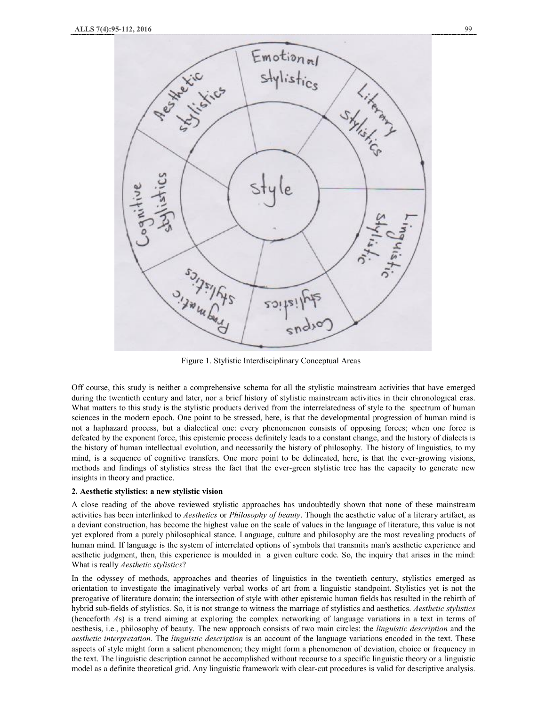

Figure 1. Stylistic Interdisciplinary Conceptual Areas

Off course, this study is neither a comprehensive schema for all the stylistic mainstream activities that have emerged during the twentieth century and later, nor a brief history of stylistic mainstream activities in their chronological eras. What matters to this study is the stylistic products derived from the interrelatedness of style to the spectrum of human sciences in the modern epoch. One point to be stressed, here, is that the developmental progression of human mind is not a haphazard process, but a dialectical one: every phenomenon consists of opposing forces; when one force is defeated by the exponent force, this epistemic process definitely leads to a constant change, and the history of dialects is the history of human intellectual evolution, and necessarily the history of philosophy. The history of linguistics, to my mind, is a sequence of cognitive transfers. One more point to be delineated, here, is that the ever-growing visions, methods and findings of stylistics stress the fact that the ever-green stylistic tree has the capacity to generate new insights in theory and practice.

#### **2. Aesthetic stylistics: a new stylistic vision**

A close reading of the above reviewed stylistic approaches has undoubtedly shown that none of these mainstream activities has been interlinked to *Aesthetics* or *Philosophy of beauty*. Though the aesthetic value of a literary artifact, as a deviant construction, has become the highest value on the scale of values in the language of literature, this value is not yet explored from a purely philosophical stance. Language, culture and philosophy are the most revealing products of human mind. If language is the system of interrelated options of symbols that transmits man's aesthetic experience and aesthetic judgment, then, this experience is moulded in a given culture code. So, the inquiry that arises in the mind: What is really *Aesthetic stylistics*?

In the odyssey of methods, approaches and theories of linguistics in the twentieth century, stylistics emerged as orientation to investigate the imaginatively verbal works of art from a linguistic standpoint. Stylistics yet is not the prerogative of literature domain; the intersection of style with other epistemic human fields has resulted in the rebirth of hybrid sub-fields of stylistics. So, it is not strange to witness the marriage of stylistics and aesthetics. *Aesthetic stylistics* (henceforth *A*s) is a trend aiming at exploring the complex networking of language variations in a text in terms of aesthesis, i.e., philosophy of beauty. The new approach consists of two main circles: the *linguistic description* and the *aesthetic interpretation*. The *linguistic description* is an account of the language variations encoded in the text. These aspects of style might form a salient phenomenon; they might form a phenomenon of deviation, choice or frequency in the text. The linguistic description cannot be accomplished without recourse to a specific linguistic theory or a linguistic model as a definite theoretical grid. Any linguistic framework with clear-cut procedures is valid for descriptive analysis.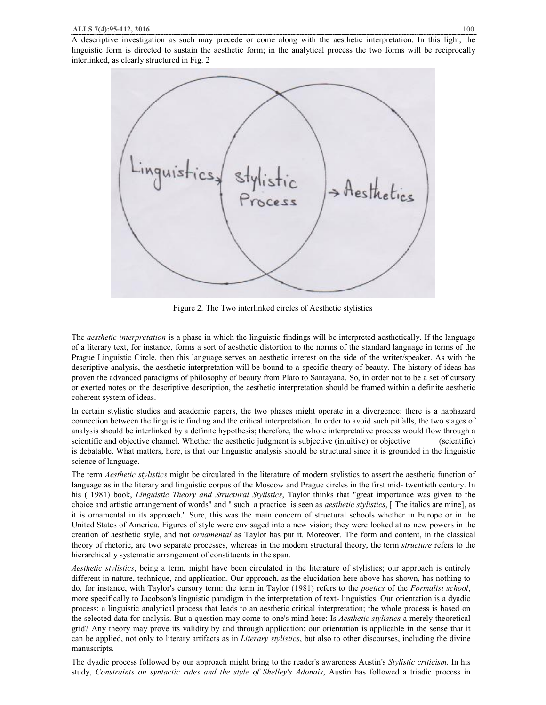A descriptive investigation as such may precede or come along with the aesthetic interpretation. In this light, the linguistic form is directed to sustain the aesthetic form; in the analytical process the two forms will be reciprocally interlinked, as clearly structured in Fig. 2



Figure 2. The Two interlinked circles of Aesthetic stylistics

The *aesthetic interpretation* is a phase in which the linguistic findings will be interpreted aesthetically. If the language of a literary text, for instance, forms a sort of aesthetic distortion to the norms of the standard language in terms of the Prague Linguistic Circle, then this language serves an aesthetic interest on the side of the writer/speaker. As with the descriptive analysis, the aesthetic interpretation will be bound to a specific theory of beauty. The history of ideas has proven the advanced paradigms of philosophy of beauty from Plato to Santayana. So, in order not to be a set of cursory or exerted notes on the descriptive description, the aesthetic interpretation should be framed within a definite aesthetic coherent system of ideas.

In certain stylistic studies and academic papers, the two phases might operate in a divergence: there is a haphazard connection between the linguistic finding and the critical interpretation. In order to avoid such pitfalls, the two stages of analysis should be interlinked by a definite hypothesis; therefore, the whole interpretative process would flow through a scientific and objective channel. Whether the aesthetic judgment is subjective (intuitive) or objective (scientific) is debatable. What matters, here, is that our linguistic analysis should be structural since it is grounded in the linguistic science of language.

The term *Aesthetic stylistics* might be circulated in the literature of modern stylistics to assert the aesthetic function of language as in the literary and linguistic corpus of the Moscow and Prague circles in the first mid- twentieth century. In his ( 1981) book, *Linguistic Theory and Structural Stylistics*, Taylor thinks that "great importance was given to the choice and artistic arrangement of words" and " such a practice is seen as *aesthetic stylistics*, [ The italics are mine], as it is ornamental in its approach." Sure, this was the main concern of structural schools whether in Europe or in the United States of America. Figures of style were envisaged into a new vision; they were looked at as new powers in the creation of aesthetic style, and not *ornamental* as Taylor has put it. Moreover. The form and content, in the classical theory of rhetoric, are two separate processes, whereas in the modern structural theory, the term *structure* refers to the hierarchically systematic arrangement of constituents in the span.

*Aesthetic stylistics*, being a term, might have been circulated in the literature of stylistics; our approach is entirely different in nature, technique, and application. Our approach, as the elucidation here above has shown, has nothing to do, for instance, with Taylor's cursory term: the term in Taylor (1981) refers to the *poetics* of the *Formalist school*, more specifically to Jacobson's linguistic paradigm in the interpretation of text- linguistics. Our orientation is a dyadic process: a linguistic analytical process that leads to an aesthetic critical interpretation; the whole process is based on the selected data for analysis. But a question may come to one's mind here: Is *Aesthetic stylistics* a merely theoretical grid? Any theory may prove its validity by and through application: our orientation is applicable in the sense that it can be applied, not only to literary artifacts as in *Literary stylistics*, but also to other discourses, including the divine manuscripts.

The dyadic process followed by our approach might bring to the reader's awareness Austin's *Stylistic criticism*. In his study, *Constraints on syntactic rules and the style of Shelley's Adonais*, Austin has followed a triadic process in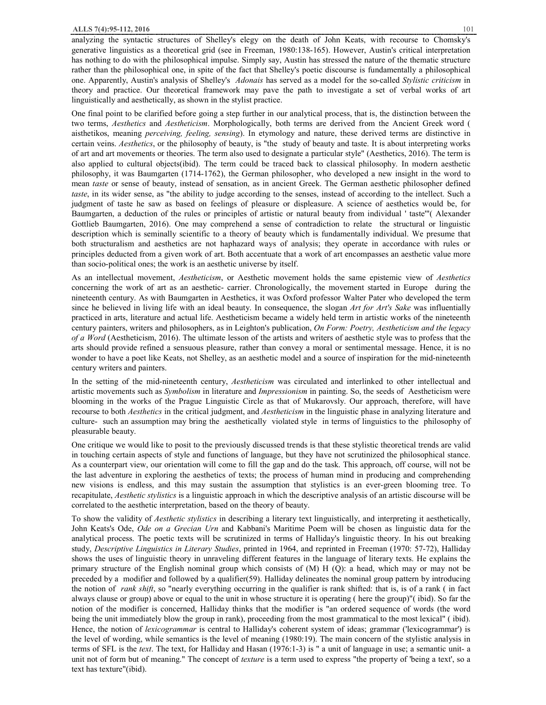#### **ALLS 7(4):95-112, 2016** 101

analyzing the syntactic structures of Shelley's elegy on the death of John Keats, with recourse to Chomsky's generative linguistics as a theoretical grid (see in Freeman, 1980:138-165). However, Austin's critical interpretation has nothing to do with the philosophical impulse. Simply say, Austin has stressed the nature of the thematic structure rather than the philosophical one, in spite of the fact that Shelley's poetic discourse is fundamentally a philosophical one. Apparently, Austin's analysis of Shelley's *Adonais* has served as a model for the so-called *Stylistic criticism* in theory and practice. Our theoretical framework may pave the path to investigate a set of verbal works of art linguistically and aesthetically, as shown in the stylist practice.

One final point to be clarified before going a step further in our analytical process, that is, the distinction between the two terms, *Aesthetics* and *Aestheticism*. Morphologically, both terms are derived from the Ancient Greek word ( aisthetikos, meaning *perceiving, feeling, sensing*). In etymology and nature, these derived terms are distinctive in certain veins. *Aesthetics*, or the philosophy of beauty, is "the study of beauty and taste. It is about interpreting works of art and art movements or theories. The term also used to designate a particular style" (Aesthetics, 2016). The term is also applied to cultural objects(ibid). The term could be traced back to classical philosophy. In modern aesthetic philosophy, it was Baumgarten (1714-1762), the German philosopher, who developed a new insight in the word to mean *taste* or sense of beauty, instead of sensation, as in ancient Greek. The German aesthetic philosopher defined *taste*, in its wider sense, as "the ability to judge according to the senses, instead of according to the intellect. Such a judgment of taste he saw as based on feelings of pleasure or displeasure. A science of aesthetics would be, for Baumgarten, a deduction of the rules or principles of artistic or natural beauty from individual ' taste'"( Alexander Gottlieb Baumgarten, 2016). One may comprehend a sense of contradiction to relate the structural or linguistic description which is seminally scientific to a theory of beauty which is fundamentally individual. We presume that both structuralism and aesthetics are not haphazard ways of analysis; they operate in accordance with rules or principles deducted from a given work of art. Both accentuate that a work of art encompasses an aesthetic value more than socio-political ones; the work is an aesthetic universe by itself.

As an intellectual movement, *Aestheticism*, or Aesthetic movement holds the same epistemic view of *Aesthetics* concerning the work of art as an aesthetic- carrier. Chronologically, the movement started in Europe during the nineteenth century. As with Baumgarten in Aesthetics, it was Oxford professor Walter Pater who developed the term since he believed in living life with an ideal beauty. In consequence, the slogan *Art for Art's Sake* was influentially practiced in arts, literature and actual life. Aestheticism became a widely held term in artistic works of the nineteenth century painters, writers and philosophers, as in Leighton's publication, *On Form: Poetry, Aestheticism and the legacy of a Word* (Aestheticism, 2016). The ultimate lesson of the artists and writers of aesthetic style was to profess that the arts should provide refined a sensuous pleasure, rather than convey a moral or sentimental message. Hence, it is no wonder to have a poet like Keats, not Shelley, as an aesthetic model and a source of inspiration for the mid-nineteenth century writers and painters.

In the setting of the mid-nineteenth century, *Aestheticism* was circulated and interlinked to other intellectual and artistic movements such as *Symbolism* in literature and *Impressionism* in painting. So, the seeds of Aestheticism were blooming in the works of the Prague Linguistic Circle as that of Mukarovsly. Our approach, therefore, will have recourse to both *Aesthetics* in the critical judgment, and *Aestheticism* in the linguistic phase in analyzing literature and culture- such an assumption may bring the aesthetically violated style in terms of linguistics to the philosophy of pleasurable beauty.

One critique we would like to posit to the previously discussed trends is that these stylistic theoretical trends are valid in touching certain aspects of style and functions of language, but they have not scrutinized the philosophical stance. As a counterpart view, our orientation will come to fill the gap and do the task. This approach, off course, will not be the last adventure in exploring the aesthetics of texts; the process of human mind in producing and comprehending new visions is endless, and this may sustain the assumption that stylistics is an ever-green blooming tree. To recapitulate, *Aesthetic stylistics* is a linguistic approach in which the descriptive analysis of an artistic discourse will be correlated to the aesthetic interpretation, based on the theory of beauty.

To show the validity of *Aesthetic stylistics* in describing a literary text linguistically, and interpreting it aesthetically, John Keats's Ode, *Ode on a Grecian Urn* and Kabbani's Maritime Poem will be chosen as linguistic data for the analytical process. The poetic texts will be scrutinized in terms of Halliday's linguistic theory. In his out breaking study, *Descriptive Linguistics in Literary Studies*, printed in 1964, and reprinted in Freeman (1970: 57-72), Halliday shows the uses of linguistic theory in unraveling different features in the language of literary texts. He explains the primary structure of the English nominal group which consists of (M) H (Q): a head, which may or may not be preceded by a modifier and followed by a qualifier(59). Halliday delineates the nominal group pattern by introducing the notion of *rank shift*, so "nearly everything occurring in the qualifier is rank shifted: that is, is of a rank ( in fact always clause or group) above or equal to the unit in whose structure it is operating ( here the group)"( ibid). So far the notion of the modifier is concerned, Halliday thinks that the modifier is "an ordered sequence of words (the word being the unit immediately blow the group in rank), proceeding from the most grammatical to the most lexical" ( ibid). Hence, the notion of *lexicogrammar* is central to Halliday's coherent system of ideas; grammar ('lexicogrammar') is the level of wording, while semantics is the level of meaning (1980:19). The main concern of the stylistic analysis in terms of SFL is the *text*. The text, for Halliday and Hasan (1976:1-3) is " a unit of language in use; a semantic unit- a unit not of form but of meaning." The concept of *texture* is a term used to express "the property of 'being a text', so a text has texture"(ibid).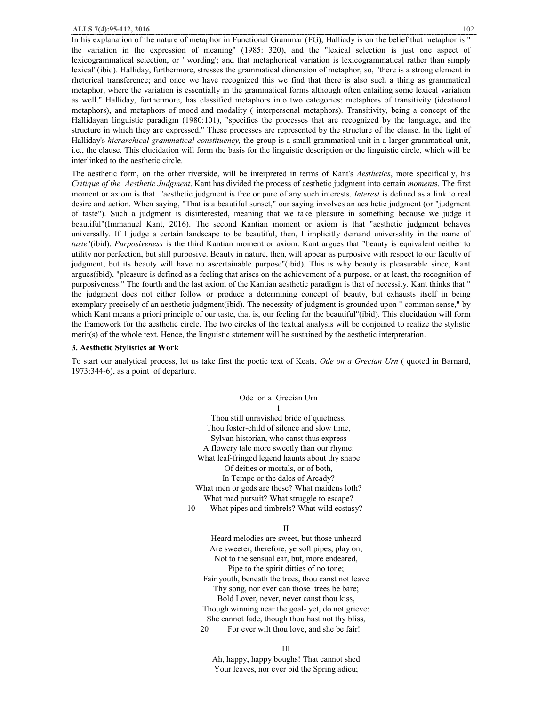In his explanation of the nature of metaphor in Functional Grammar (FG), Halliady is on the belief that metaphor is " the variation in the expression of meaning" (1985: 320), and the "lexical selection is just one aspect of lexicogrammatical selection, or ' wording'; and that metaphorical variation is lexicogrammatical rather than simply lexical"(ibid). Halliday, furthermore, stresses the grammatical dimension of metaphor, so, "there is a strong element in rhetorical transference; and once we have recognized this we find that there is also such a thing as grammatical metaphor, where the variation is essentially in the grammatical forms although often entailing some lexical variation as well." Halliday, furthermore, has classified metaphors into two categories: metaphors of transitivity (ideational metaphors), and metaphors of mood and modality ( interpersonal metaphors). Transitivity, being a concept of the Hallidayan linguistic paradigm (1980:101), "specifies the processes that are recognized by the language, and the structure in which they are expressed." These processes are represented by the structure of the clause. In the light of Halliday's *hierarchical grammatical constituency,* the group is a small grammatical unit in a larger grammatical unit, i.e., the clause. This elucidation will form the basis for the linguistic description or the linguistic circle, which will be interlinked to the aesthetic circle.

The aesthetic form, on the other riverside, will be interpreted in terms of Kant's *Aesthetics*, more specifically, his *Critique of the Aesthetic Judgment*. Kant has divided the process of aesthetic judgment into certain *moment*s. The first moment or axiom is that "aesthetic judgment is free or pure of any such interests. *Interest* is defined as a link to real desire and action. When saying, "That is a beautiful sunset," our saying involves an aesthetic judgment (or "judgment of taste"). Such a judgment is disinterested, meaning that we take pleasure in something because we judge it beautiful"(Immanuel Kant, 2016). The second Kantian moment or axiom is that "aesthetic judgment behaves universally. If I judge a certain landscape to be beautiful, then, I implicitly demand universality in the name of *taste*"(ibid). *Purposiveness* is the third Kantian moment or axiom. Kant argues that "beauty is equivalent neither to utility nor perfection, but still purposive. Beauty in nature, then, will appear as purposive with respect to our faculty of judgment, but its beauty will have no ascertainable purpose"(ibid). This is why beauty is pleasurable since, Kant argues(ibid), "pleasure is defined as a feeling that arises on the achievement of a purpose, or at least, the recognition of purposiveness." The fourth and the last axiom of the Kantian aesthetic paradigm is that of necessity. Kant thinks that " the judgment does not either follow or produce a determining concept of beauty, but exhausts itself in being exemplary precisely of an aesthetic judgment(ibid). The necessity of judgment is grounded upon " common sense," by which Kant means a priori principle of our taste, that is, our feeling for the beautiful"(ibid). This elucidation will form the framework for the aesthetic circle. The two circles of the textual analysis will be conjoined to realize the stylistic merit(s) of the whole text. Hence, the linguistic statement will be sustained by the aesthetic interpretation.

#### **3. Aesthetic Stylistics at Work**

To start our analytical process, let us take first the poetic text of Keats, *Ode on a Grecian Urn* ( quoted in Barnard, 1973:344-6), as a point of departure.

> Ode on a Grecian Urn 1 Thou still unravished bride of quietness, Thou foster-child of silence and slow time, Sylvan historian, who canst thus express A flowery tale more sweetly than our rhyme: What leaf-fringed legend haunts about thy shape Of deities or mortals, or of both, In Tempe or the dales of Arcady? What men or gods are these? What maidens loth? What mad pursuit? What struggle to escape? 10 What pipes and timbrels? What wild ecstasy?

#### II

Heard melodies are sweet, but those unheard Are sweeter; therefore, ye soft pipes, play on; Not to the sensual ear, but, more endeared, Pipe to the spirit ditties of no tone; Fair youth, beneath the trees, thou canst not leave Thy song, nor ever can those trees be bare; Bold Lover, never, never canst thou kiss, Though winning near the goal- yet, do not grieve: She cannot fade, though thou hast not thy bliss, 20 For ever wilt thou love, and she be fair!

III

Ah, happy, happy boughs! That cannot shed Your leaves, nor ever bid the Spring adieu;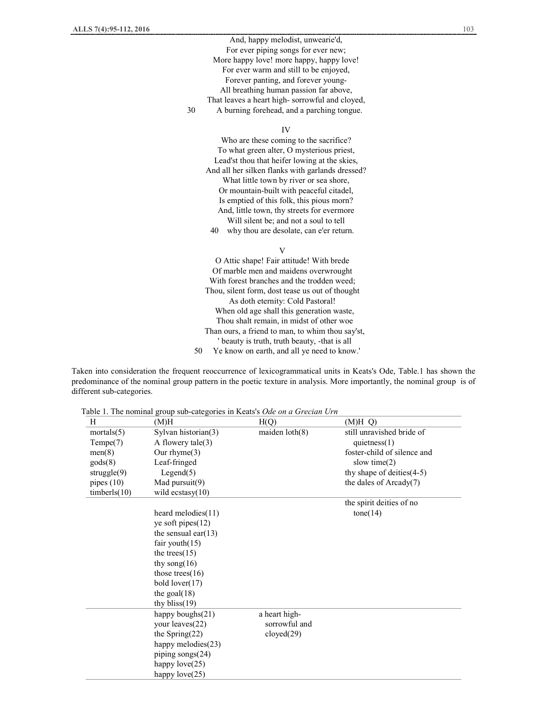And, happy melodist, unwearie'd, For ever piping songs for ever new; More happy love! more happy, happy love! For ever warm and still to be enjoyed, Forever panting, and forever young-All breathing human passion far above, That leaves a heart high- sorrowful and cloyed, 30 A burning forehead, and a parching tongue.

IV

Who are these coming to the sacrifice? To what green alter, O mysterious priest, Lead'st thou that heifer lowing at the skies, And all her silken flanks with garlands dressed? What little town by river or sea shore, Or mountain-built with peaceful citadel, Is emptied of this folk, this pious morn? And, little town, thy streets for evermore Will silent be; and not a soul to tell 40 why thou are desolate, can e'er return.

V

O Attic shape! Fair attitude! With brede Of marble men and maidens overwrought With forest branches and the trodden weed; Thou, silent form, dost tease us out of thought As doth eternity: Cold Pastoral! When old age shall this generation waste, Thou shalt remain, in midst of other woe Than ours, a friend to man, to whim thou say'st, ' beauty is truth, truth beauty, -that is all 50 Ye know on earth, and all ye need to know.'

Taken into consideration the frequent reoccurrence of lexicogrammatical units in Keats's Ode, Table.1 has shown the predominance of the nominal group pattern in the poetic texture in analysis. More importantly, the nominal group is of different sub-categories.

Table 1. The nominal group sub-categories in Keats's *Ode on a Grecian Urn* 

| H                | (M)H                   | H(Q)                    | $(M)H$ Q)                    |
|------------------|------------------------|-------------------------|------------------------------|
| mortals $(5)$    | Sylvan historian(3)    | maiden $\text{loth}(8)$ | still unravished bride of    |
| Tempe(7)         | A flowery $tale(3)$    |                         | quietness $(1)$              |
| men(8)           | Our rhyme $(3)$        |                         | foster-child of silence and  |
| $\text{gods}(8)$ | Leaf-fringed           |                         | slow time $(2)$              |
| struggle $(9)$   | Legend(5)              |                         | thy shape of deities $(4-5)$ |
| pipes $(10)$     | Mad pursuit(9)         |                         | the dales of Arcady(7)       |
| timberls(10)     | wild ecstasy $(10)$    |                         |                              |
|                  |                        |                         | the spirit deities of no     |
|                  | heard melodies $(11)$  |                         | $\text{tone}(14)$            |
|                  | ye soft pipes $(12)$   |                         |                              |
|                  | the sensual ear $(13)$ |                         |                              |
|                  | fair youth $(15)$      |                         |                              |
|                  | the trees $(15)$       |                         |                              |
|                  | thy song $(16)$        |                         |                              |
|                  | those trees $(16)$     |                         |                              |
|                  | bold $lower(17)$       |                         |                              |
|                  | the goal $(18)$        |                         |                              |
|                  | thy bliss $(19)$       |                         |                              |
|                  | happy boughs(21)       | a heart high-           |                              |
|                  | your leaves(22)        | sorrowful and           |                              |
|                  | the Spring $(22)$      | cloyd(29)               |                              |
|                  | happy melodies(23)     |                         |                              |
|                  | piping songs(24)       |                         |                              |
|                  | happy $love(25)$       |                         |                              |
|                  | happy $love(25)$       |                         |                              |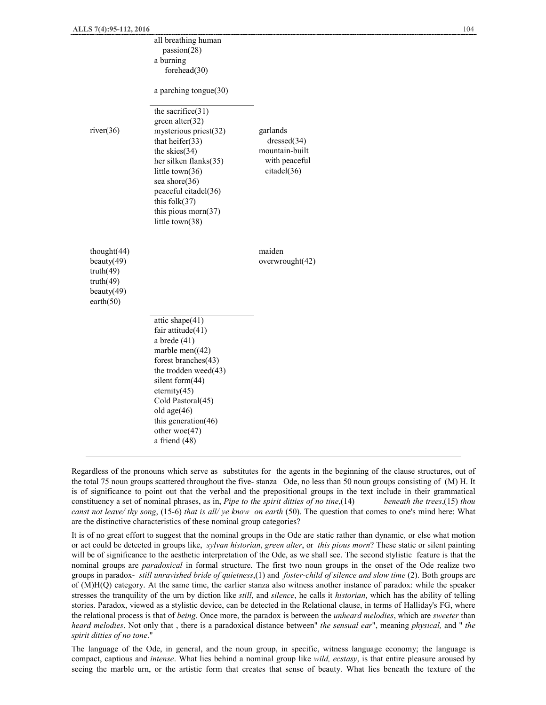|                                                                                | all breathing human<br>passion(28)<br>a burning<br>forehead $(30)$                                                                                                                                                                                                      |                                                                           |  |
|--------------------------------------------------------------------------------|-------------------------------------------------------------------------------------------------------------------------------------------------------------------------------------------------------------------------------------------------------------------------|---------------------------------------------------------------------------|--|
|                                                                                | a parching tongue $(30)$                                                                                                                                                                                                                                                |                                                                           |  |
| river(36)                                                                      | the sacrifice $(31)$<br>green alter(32)<br>mysterious priest(32)<br>that heirer $(33)$<br>the skies $(34)$<br>her silken flanks(35)<br>little town(36)<br>sea shore(36)<br>peaceful citadel(36)<br>this $folk(37)$<br>this pious morn $(37)$<br>little town(38)         | garlands<br>dressed(34)<br>mountain-built<br>with peaceful<br>citadel(36) |  |
| thought(44)<br>beauty(49)<br>truth(49)<br>truth(49)<br>beauty(49)<br>earth(50) |                                                                                                                                                                                                                                                                         | maiden<br>overwrought(42)                                                 |  |
|                                                                                | attic shape $(41)$<br>fair attitude(41)<br>a brede $(41)$<br>marble men $((42)$<br>forest branches(43)<br>the trodden weed(43)<br>silent form(44)<br>$\text{eternity}(45)$<br>Cold Pastoral(45)<br>old age(46)<br>this generation(46)<br>other woe(47)<br>a friend (48) |                                                                           |  |

Regardless of the pronouns which serve as substitutes for the agents in the beginning of the clause structures, out of the total 75 noun groups scattered throughout the five- stanza Ode, no less than 50 noun groups consisting of (M) H. It is of significance to point out that the verbal and the prepositional groups in the text include in their grammatical constituency a set of nominal phrases, as in, *Pipe to the spirit ditties of no tine*,(14) *beneath the trees*,(15) *thou canst not leave/ thy song*, (15-6) *that is all/ ye know on earth* (50). The question that comes to one's mind here: What are the distinctive characteristics of these nominal group categories?

It is of no great effort to suggest that the nominal groups in the Ode are static rather than dynamic, or else what motion or act could be detected in groups like, *sylvan historian*, *green alter*, or *this pious morn*? These static or silent painting will be of significance to the aesthetic interpretation of the Ode, as we shall see. The second stylistic feature is that the nominal groups are *paradoxical* in formal structure. The first two noun groups in the onset of the Ode realize two groups in paradox- *still unravished bride of quietness*,(1) and *foster-child of silence and slow time* (2). Both groups are of (M)H(Q) category. At the same time, the earlier stanza also witness another instance of paradox: while the speaker stresses the tranquility of the urn by diction like *still*, and *silence*, he calls it *historian*, which has the ability of telling stories. Paradox, viewed as a stylistic device, can be detected in the Relational clause, in terms of Halliday's FG, where the relational process is that of *being*. Once more, the paradox is between the *unheard melodies*, which are *sweeter* than *heard melodies*. Not only that , there is a paradoxical distance between" *the sensual ear*", meaning *physical,* and " *the spirit ditties of no tone*."

The language of the Ode, in general, and the noun group, in specific, witness language economy; the language is compact, captious and *intense*. What lies behind a nominal group like *wild, ecstasy*, is that entire pleasure aroused by seeing the marble urn, or the artistic form that creates that sense of beauty. What lies beneath the texture of the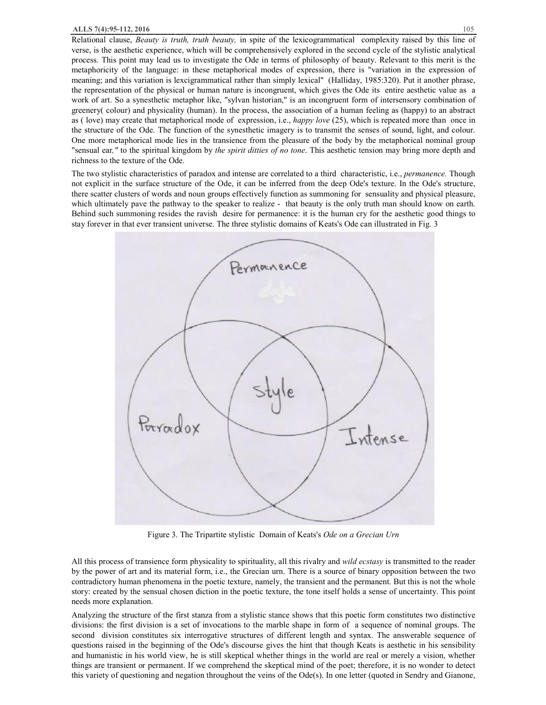Relational clause, *Beauty is truth, truth beauty,* in spite of the lexicogrammatical complexity raised by this line of verse, is the aesthetic experience, which will be comprehensively explored in the second cycle of the stylistic analytical process. This point may lead us to investigate the Ode in terms of philosophy of beauty. Relevant to this merit is the metaphoricity of the language: in these metaphorical modes of expression, there is "variation in the expression of meaning; and this variation is lexcigrammatical rather than simply lexical" (Halliday, 1985:320). Put it another phrase, the representation of the physical or human nature is incongruent, which gives the Ode its entire aesthetic value as a work of art. So a synesthetic metaphor like, "sylvan historian," is an incongruent form of intersensory combination of greenery( colour) and physicality (human). In the process, the association of a human feeling as (happy) to an abstract as ( love) may create that metaphorical mode of expression, i.e., *happy love* (25), which is repeated more than once in the structure of the Ode. The function of the synesthetic imagery is to transmit the senses of sound, light, and colour. One more metaphorical mode lies in the transience from the pleasure of the body by the metaphorical nominal group "sensual ear*,"* to the spiritual kingdom by *the spirit ditties of no tone*. This aesthetic tension may bring more depth and richness to the texture of the Ode.

The two stylistic characteristics of paradox and intense are correlated to a third characteristic, i.e., *permanence.* Though not explicit in the surface structure of the Ode, it can be inferred from the deep Ode's texture. In the Ode's structure, there scatter clusters of words and noun groups effectively function as summoning for sensuality and physical pleasure, which ultimately pave the pathway to the speaker to realize - that beauty is the only truth man should know on earth. Behind such summoning resides the ravish desire for permanence: it is the human cry for the aesthetic good things to stay forever in that ever transient universe. The three stylistic domains of Keats's Ode can illustrated in Fig. 3



Figure 3. The Tripartite stylistic Domain of Keats's *Ode on a Grecian Urn* 

All this process of transience form physicality to spirituality, all this rivalry and *wild ecstasy* is transmitted to the reader by the power of art and its material form, i.e., the Grecian urn. There is a source of binary opposition between the two contradictory human phenomena in the poetic texture, namely, the transient and the permanent. But this is not the whole story: created by the sensual chosen diction in the poetic texture, the tone itself holds a sense of uncertainty. This point needs more explanation.

Analyzing the structure of the first stanza from a stylistic stance shows that this poetic form constitutes two distinctive divisions: the first division is a set of invocations to the marble shape in form of a sequence of nominal groups. The second division constitutes six interrogative structures of different length and syntax. The answerable sequence of questions raised in the beginning of the Ode's discourse gives the hint that though Keats is aesthetic in his sensibility and humanistic in his world view, he is still skeptical whether things in the world are real or merely a vision, whether things are transient or permanent. If we comprehend the skeptical mind of the poet; therefore, it is no wonder to detect this variety of questioning and negation throughout the veins of the Ode(s). In one letter (quoted in Sendry and Gianone,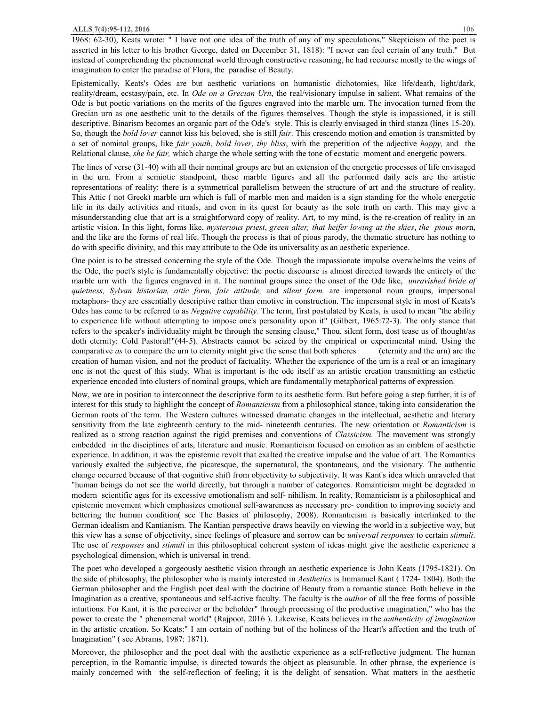1968: 62-30), Keats wrote: " I have not one idea of the truth of any of my speculations." Skepticism of the poet is asserted in his letter to his brother George, dated on December 31, 1818): "I never can feel certain of any truth." But instead of comprehending the phenomenal world through constructive reasoning, he had recourse mostly to the wings of imagination to enter the paradise of Flora, the paradise of Beauty.

Epistemically, Keats's Odes are but aesthetic variations on humanistic dichotomies, like life/death, light/dark, reality/dream, ecstasy/pain, etc. In *Ode on a Grecian Urn*, the real/visionary impulse in salient. What remains of the Ode is but poetic variations on the merits of the figures engraved into the marble urn. The invocation turned from the Grecian urn as one aesthetic unit to the details of the figures themselves. Though the style is impassioned, it is still descriptive. Binarism becomes an organic part of the Ode's style. This is clearly envisaged in third stanza (lines 15-20). So, though the *bold lover* cannot kiss his beloved, she is still *fair*. This crescendo motion and emotion is transmitted by a set of nominal groups, like *fair youth*, *bold lover*, *thy bliss*, with the prepetition of the adjective *happy,* and the Relational clause, *she be fair,* which charge the whole setting with the tone of ecstatic moment and energetic powers.

The lines of verse (31-40) with all their nominal groups are but an extension of the energetic processes of life envisaged in the urn. From a semiotic standpoint, these marble figures and all the performed daily acts are the artistic representations of reality: there is a symmetrical parallelism between the structure of art and the structure of reality. This Attic ( not Greek) marble urn which is full of marble men and maiden is a sign standing for the whole energetic life in its daily activities and rituals, and even in its quest for beauty as the sole truth on earth. This may give a misunderstanding clue that art is a straightforward copy of reality. Art, to my mind, is the re-creation of reality in an artistic vision. In this light, forms like, *mysterious priest*, *green alter, that heifer lowing at the skies*, *the pious mor*n, and the like are the forms of real life. Though the process is that of pious parody, the thematic structure has nothing to do with specific divinity, and this may attribute to the Ode its universality as an aesthetic experience.

One point is to be stressed concerning the style of the Ode. Though the impassionate impulse overwhelms the veins of the Ode, the poet's style is fundamentally objective: the poetic discourse is almost directed towards the entirety of the marble urn with the figures engraved in it. The nominal groups since the onset of the Ode like, *unravished bride of quietness, Sylvan historian, attic form, fair attitude,* and *silent form,* are impersonal noun groups, impersonal metaphors- they are essentially descriptive rather than emotive in construction. The impersonal style in most of Keats's Odes has come to be referred to as *Negative capability.* The term, first postulated by Keats, is used to mean "the ability to experience life without attempting to impose one's personality upon it" (Gilbert, 1965:72-3). The only stance that refers to the speaker's individuality might be through the sensing clause," Thou, silent form, dost tease us of thought/as doth eternity: Cold Pastoral!"(44-5). Abstracts cannot be seized by the empirical or experimental mind. Using the comparative *as* to compare the urn to eternity might give the sense that both spheres (eternity and the urn) are the creation of human vision, and not the product of factuality. Whether the experience of the urn is a real or an imaginary one is not the quest of this study. What is important is the ode itself as an artistic creation transmitting an esthetic experience encoded into clusters of nominal groups, which are fundamentally metaphorical patterns of expression.

Now, we are in position to interconnect the descriptive form to its aesthetic form. But before going a step further, it is of interest for this study to highlight the concept of *Romanticism* from a philosophical stance, taking into consideration the German roots of the term. The Western cultures witnessed dramatic changes in the intellectual, aesthetic and literary sensitivity from the late eighteenth century to the mid- nineteenth centuries. The new orientation or *Romanticism* is realized as a strong reaction against the rigid premises and conventions of *Classicism.* The movement was strongly embedded in the disciplines of arts, literature and music. Romanticism focused on emotion as an emblem of aesthetic experience. In addition, it was the epistemic revolt that exalted the creative impulse and the value of art. The Romantics variously exalted the subjective, the picaresque, the supernatural, the spontaneous, and the visionary. The authentic change occurred because of that cognitive shift from objectivity to subjectivity. It was Kant's idea which unraveled that "human beings do not see the world directly, but through a number of categories. Romanticism might be degraded in modern scientific ages for its excessive emotionalism and self- nihilism. In reality, Romanticism is a philosophical and epistemic movement which emphasizes emotional self-awareness as necessary pre- condition to improving society and bettering the human condition( see The Basics of philosophy, 2008). Romanticism is basically interlinked to the German idealism and Kantianism. The Kantian perspective draws heavily on viewing the world in a subjective way, but this view has a sense of objectivity, since feelings of pleasure and sorrow can be *universal responses* to certain *stimuli*. The use of *responses* and *stimuli* in this philosophical coherent system of ideas might give the aesthetic experience a psychological dimension, which is universal in trend.

The poet who developed a gorgeously aesthetic vision through an aesthetic experience is John Keats (1795-1821). On the side of philosophy, the philosopher who is mainly interested in *Aesthetics* is Immanuel Kant ( 1724- 1804). Both the German philosopher and the English poet deal with the doctrine of Beauty from a romantic stance. Both believe in the Imagination as a creative, spontaneous and self-active faculty. The faculty is the *author* of all the free forms of possible intuitions. For Kant, it is the perceiver or the beholder" through processing of the productive imagination," who has the power to create the " phenomenal world" (Rajpoot, 2016 ). Likewise, Keats believes in the *authenticity of imagination*  in the artistic creation. So Keats:" I am certain of nothing but of the holiness of the Heart's affection and the truth of Imagination" ( see Abrams, 1987: 1871).

Moreover, the philosopher and the poet deal with the aesthetic experience as a self-reflective judgment. The human perception, in the Romantic impulse, is directed towards the object as pleasurable. In other phrase, the experience is mainly concerned with the self-reflection of feeling; it is the delight of sensation. What matters in the aesthetic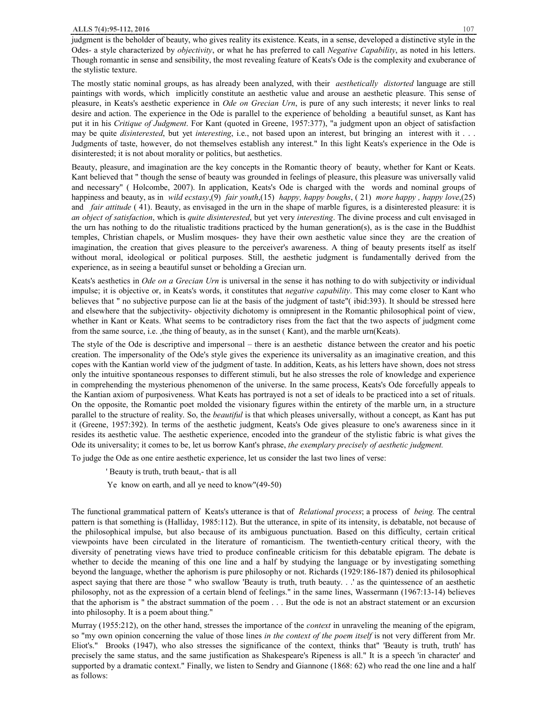judgment is the beholder of beauty, who gives reality its existence. Keats, in a sense, developed a distinctive style in the Odes- a style characterized by *objectivity*, or what he has preferred to call *Negative Capability*, as noted in his letters. Though romantic in sense and sensibility, the most revealing feature of Keats's Ode is the complexity and exuberance of the stylistic texture.

The mostly static nominal groups, as has already been analyzed, with their *aesthetically distorted* language are still paintings with words, which implicitly constitute an aesthetic value and arouse an aesthetic pleasure. This sense of pleasure, in Keats's aesthetic experience in *Ode on Grecian Urn*, is pure of any such interests; it never links to real desire and action. The experience in the Ode is parallel to the experience of beholding a beautiful sunset, as Kant has put it in his *Critique of Judgment*. For Kant (quoted in Greene, 1957:377), "a judgment upon an object of satisfaction may be quite *disinterested*, but yet *interesting*, i.e., not based upon an interest, but bringing an interest with it . . . Judgments of taste, however, do not themselves establish any interest." In this light Keats's experience in the Ode is disinterested; it is not about morality or politics, but aesthetics.

Beauty, pleasure, and imagination are the key concepts in the Romantic theory of beauty, whether for Kant or Keats. Kant believed that " though the sense of beauty was grounded in feelings of pleasure, this pleasure was universally valid and necessary" ( Holcombe, 2007). In application, Keats's Ode is charged with the words and nominal groups of happiness and beauty, as in *wild ecstasy*,(9) *fair youth*,(15) *happy, happy boughs*, ( 21) *more happy , happy love*,(25) and *fair attitude* ( 41). Beauty, as envisaged in the urn in the shape of marble figures, is a disinterested pleasure: it is *an object of satisfaction*, which is *quite disinterested*, but yet very *interesting*. The divine process and cult envisaged in the urn has nothing to do the ritualistic traditions practiced by the human generation(s), as is the case in the Buddhist temples, Christian chapels, or Muslim mosques- they have their own aesthetic value since they are the creation of imagination, the creation that gives pleasure to the perceiver's awareness. A thing of beauty presents itself as itself without moral, ideological or political purposes. Still, the aesthetic judgment is fundamentally derived from the experience, as in seeing a beautiful sunset or beholding a Grecian urn.

Keats's aesthetics in *Ode on a Grecian Urn* is universal in the sense it has nothing to do with subjectivity or individual impulse; it is objective or, in Keats's words, it constitutes that *negative capability*. This may come closer to Kant who believes that " no subjective purpose can lie at the basis of the judgment of taste"( ibid:393). It should be stressed here and elsewhere that the subjectivity- objectivity dichotomy is omnipresent in the Romantic philosophical point of view, whether in Kant or Keats. What seems to be contradictory rises from the fact that the two aspects of judgment come from the same source, i.e. ,the thing of beauty, as in the sunset ( Kant), and the marble urn(Keats).

The style of the Ode is descriptive and impersonal – there is an aesthetic distance between the creator and his poetic creation. The impersonality of the Ode's style gives the experience its universality as an imaginative creation, and this copes with the Kantian world view of the judgment of taste. In addition, Keats, as his letters have shown, does not stress only the intuitive spontaneous responses to different stimuli, but he also stresses the role of knowledge and experience in comprehending the mysterious phenomenon of the universe. In the same process, Keats's Ode forcefully appeals to the Kantian axiom of purposiveness. What Keats has portrayed is not a set of ideals to be practiced into a set of rituals. On the opposite, the Romantic poet molded the visionary figures within the entirety of the marble urn, in a structure parallel to the structure of reality. So, the *beautiful* is that which pleases universally, without a concept, as Kant has put it (Greene, 1957:392). In terms of the aesthetic judgment, Keats's Ode gives pleasure to one's awareness since in it resides its aesthetic value. The aesthetic experience, encoded into the grandeur of the stylistic fabric is what gives the Ode its universality; it comes to be, let us borrow Kant's phrase, *the exemplary precisely of aesthetic judgment.*

To judge the Ode as one entire aesthetic experience, let us consider the last two lines of verse:

- ' Beauty is truth, truth beaut,- that is all
- Ye know on earth, and all ye need to know"(49-50)

The functional grammatical pattern of Keats's utterance is that of *Relational process*; a process of *being.* The central pattern is that something is (Halliday, 1985:112). But the utterance, in spite of its intensity, is debatable, not because of the philosophical impulse, but also because of its ambiguous punctuation. Based on this difficulty, certain critical viewpoints have been circulated in the literature of romanticism. The twentieth-century critical theory, with the diversity of penetrating views have tried to produce confineable criticism for this debatable epigram. The debate is whether to decide the meaning of this one line and a half by studying the language or by investigating something beyond the language, whether the aphorism is pure philosophy or not. Richards (1929:186-187) denied its philosophical aspect saying that there are those " who swallow 'Beauty is truth, truth beauty. . .' as the quintessence of an aesthetic philosophy, not as the expression of a certain blend of feelings." in the same lines, Wassermann (1967:13-14) believes that the aphorism is " the abstract summation of the poem . . . But the ode is not an abstract statement or an excursion into philosophy. It is a poem about thing."

Murray (1955:212), on the other hand, stresses the importance of the *context* in unraveling the meaning of the epigram, so "my own opinion concerning the value of those lines *in the context of the poem itself* is not very different from Mr. Eliot's." Brooks (1947), who also stresses the significance of the context, thinks that" 'Beauty is truth, truth' has precisely the same status, and the same justification as Shakespeare's Ripeness is all." It is a speech 'in character' and supported by a dramatic context." Finally, we listen to Sendry and Giannone (1868: 62) who read the one line and a half as follows: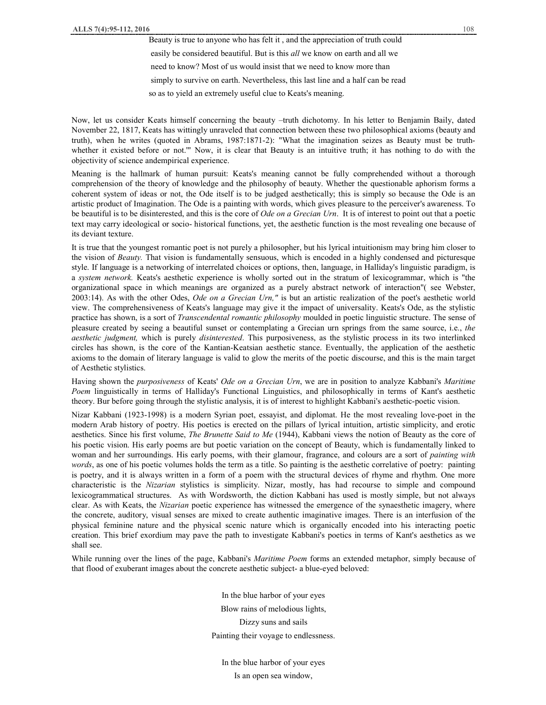Now, let us consider Keats himself concerning the beauty –truth dichotomy. In his letter to Benjamin Baily, dated November 22, 1817, Keats has wittingly unraveled that connection between these two philosophical axioms (beauty and truth), when he writes (quoted in Abrams, 1987:1871-2): "What the imagination seizes as Beauty must be truthwhether it existed before or not."" Now, it is clear that Beauty is an intuitive truth; it has nothing to do with the objectivity of science andempirical experience.

Meaning is the hallmark of human pursuit: Keats's meaning cannot be fully comprehended without a thorough comprehension of the theory of knowledge and the philosophy of beauty. Whether the questionable aphorism forms a coherent system of ideas or not, the Ode itself is to be judged aesthetically; this is simply so because the Ode is an artistic product of Imagination. The Ode is a painting with words, which gives pleasure to the perceiver's awareness. To be beautiful is to be disinterested, and this is the core of *Ode on a Grecian Urn*. It is of interest to point out that a poetic text may carry ideological or socio- historical functions, yet, the aesthetic function is the most revealing one because of its deviant texture.

It is true that the youngest romantic poet is not purely a philosopher, but his lyrical intuitionism may bring him closer to the vision of *Beauty.* That vision is fundamentally sensuous, which is encoded in a highly condensed and picturesque style. If language is a networking of interrelated choices or options, then, language, in Halliday's linguistic paradigm, is a *system network.* Keats's aesthetic experience is wholly sorted out in the stratum of lexicogrammar, which is "the organizational space in which meanings are organized as a purely abstract network of interaction"( see Webster, 2003:14). As with the other Odes, *Ode on a Grecian Urn,"* is but an artistic realization of the poet's aesthetic world view. The comprehensiveness of Keats's language may give it the impact of universality. Keats's Ode, as the stylistic practice has shown, is a sort of *Transcendental romantic philosophy* moulded in poetic linguistic structure. The sense of pleasure created by seeing a beautiful sunset or contemplating a Grecian urn springs from the same source, i.e., *the aesthetic judgment,* which is purely *disinterested*. This purposiveness, as the stylistic process in its two interlinked circles has shown, is the core of the Kantian-Keatsian aesthetic stance. Eventually, the application of the aesthetic axioms to the domain of literary language is valid to glow the merits of the poetic discourse, and this is the main target of Aesthetic stylistics.

Having shown the *purposiveness* of Keats' *Ode on a Grecian Urn*, we are in position to analyze Kabbani's *Maritime Poem* linguistically in terms of Halliday's Functional Linguistics, and philosophically in terms of Kant's aesthetic theory. Bur before going through the stylistic analysis, it is of interest to highlight Kabbani's aesthetic-poetic vision.

Nizar Kabbani (1923-1998) is a modern Syrian poet, essayist, and diplomat. He the most revealing love-poet in the modern Arab history of poetry. His poetics is erected on the pillars of lyrical intuition, artistic simplicity, and erotic aesthetics. Since his first volume, *The Brunette Said to Me* (1944), Kabbani views the notion of Beauty as the core of his poetic vision. His early poems are but poetic variation on the concept of Beauty, which is fundamentally linked to woman and her surroundings. His early poems, with their glamour, fragrance, and colours are a sort of *painting with words*, as one of his poetic volumes holds the term as a title. So painting is the aesthetic correlative of poetry: painting is poetry, and it is always written in a form of a poem with the structural devices of rhyme and rhythm. One more characteristic is the *Nizarian* stylistics is simplicity. Nizar, mostly, has had recourse to simple and compound lexicogrammatical structures. As with Wordsworth, the diction Kabbani has used is mostly simple, but not always clear. As with Keats, the *Nizarian* poetic experience has witnessed the emergence of the synaesthetic imagery, where the concrete, auditory, visual senses are mixed to create authentic imaginative images. There is an interfusion of the physical feminine nature and the physical scenic nature which is organically encoded into his interacting poetic creation. This brief exordium may pave the path to investigate Kabbani's poetics in terms of Kant's aesthetics as we shall see.

While running over the lines of the page, Kabbani's *Maritime Poem* forms an extended metaphor, simply because of that flood of exuberant images about the concrete aesthetic subject- a blue-eyed beloved:

> In the blue harbor of your eyes Blow rains of melodious lights, Dizzy suns and sails Painting their voyage to endlessness.

In the blue harbor of your eyes Is an open sea window,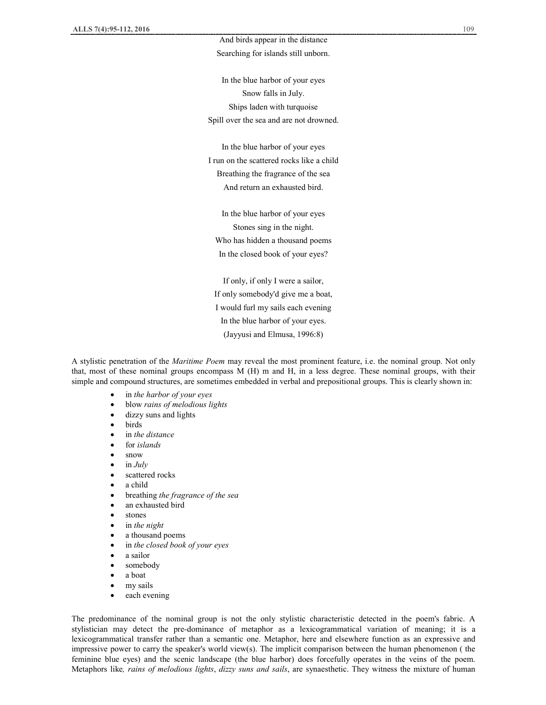# And birds appear in the distance Searching for islands still unborn.

In the blue harbor of your eyes Snow falls in July. Ships laden with turquoise Spill over the sea and are not drowned.

In the blue harbor of your eyes I run on the scattered rocks like a child Breathing the fragrance of the sea And return an exhausted bird.

In the blue harbor of your eyes Stones sing in the night. Who has hidden a thousand poems In the closed book of your eyes?

If only, if only I were a sailor, If only somebody'd give me a boat, I would furl my sails each evening In the blue harbor of your eyes. (Jayyusi and Elmusa, 1996:8)

A stylistic penetration of the *Maritime Poem* may reveal the most prominent feature, i.e. the nominal group. Not only that, most of these nominal groups encompass M (H) m and H, in a less degree. These nominal groups, with their simple and compound structures, are sometimes embedded in verbal and prepositional groups. This is clearly shown in:

- · in *the harbor of your eyes*
- · blow *rains of melodious lights*
- dizzy suns and lights
- · birds
- · in *the distance*
- · for *islands*
- · snow
- $\bullet$  in *July*
- scattered rocks
- a child
- · breathing *the fragrance of the sea*
- an exhausted bird
- stones
- · in *the night*
- a thousand poems
- · in *the closed book of your eyes*
- a sailor
- somebody
- a boat
- my sails
- each evening

The predominance of the nominal group is not the only stylistic characteristic detected in the poem's fabric. A stylistician may detect the pre-dominance of metaphor as a lexicogrammatical variation of meaning; it is a lexicogrammatical transfer rather than a semantic one. Metaphor, here and elsewhere function as an expressive and impressive power to carry the speaker's world view(s). The implicit comparison between the human phenomenon ( the feminine blue eyes) and the scenic landscape (the blue harbor) does forcefully operates in the veins of the poem. Metaphors like*, rains of melodious lights*, *dizzy suns and sails*, are synaesthetic. They witness the mixture of human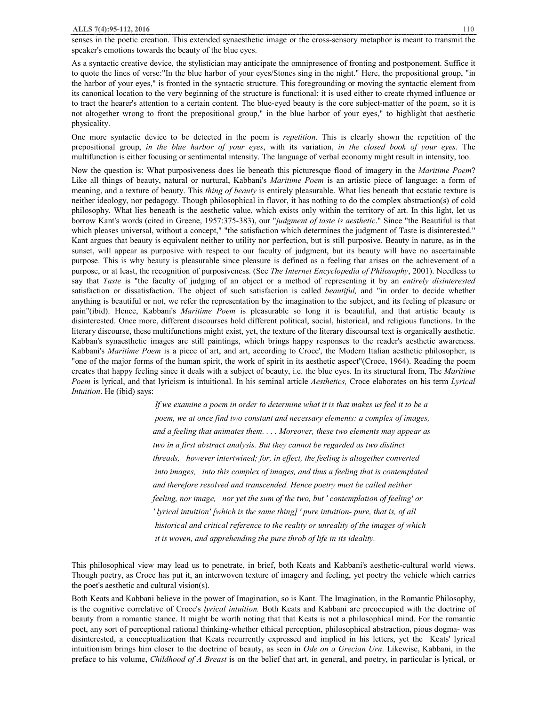senses in the poetic creation. This extended synaesthetic image or the cross-sensory metaphor is meant to transmit the speaker's emotions towards the beauty of the blue eyes.

As a syntactic creative device, the stylistician may anticipate the omnipresence of fronting and postponement. Suffice it to quote the lines of verse:"In the blue harbor of your eyes/Stones sing in the night." Here, the prepositional group, "in the harbor of your eyes," is fronted in the syntactic structure. This foregrounding or moving the syntactic element from its canonical location to the very beginning of the structure is functional: it is used either to create rhymed influence or to tract the hearer's attention to a certain content. The blue-eyed beauty is the core subject-matter of the poem, so it is not altogether wrong to front the prepositional group," in the blue harbor of your eyes," to highlight that aesthetic physicality.

One more syntactic device to be detected in the poem is *repetition*. This is clearly shown the repetition of the prepositional group, *in the blue harbor of your eyes*, with its variation, *in the closed book of your eyes*. The multifunction is either focusing or sentimental intensity. The language of verbal economy might result in intensity, too.

Now the question is: What purposiveness does lie beneath this picturesque flood of imagery in the *Maritime Poem*? Like all things of beauty, natural or nurtural, Kabbani's *Maritime Poem* is an artistic piece of language; a form of meaning, and a texture of beauty. This *thing of beauty* is entirely pleasurable. What lies beneath that ecstatic texture is neither ideology, nor pedagogy. Though philosophical in flavor, it has nothing to do the complex abstraction(s) of cold philosophy. What lies beneath is the aesthetic value, which exists only within the territory of art. In this light, let us borrow Kant's words (cited in Greene, 1957:375-383), our "*judgment of taste is aesthetic*." Since "the Beautiful is that which pleases universal, without a concept," "the satisfaction which determines the judgment of Taste is disinterested." Kant argues that beauty is equivalent neither to utility nor perfection, but is still purposive. Beauty in nature, as in the sunset, will appear as purposive with respect to our faculty of judgment, but its beauty will have no ascertainable purpose. This is why beauty is pleasurable since pleasure is defined as a feeling that arises on the achievement of a purpose, or at least, the recognition of purposiveness. (See *The Internet Encyclopedia of Philosophy*, 2001). Needless to say that *Taste* is "the faculty of judging of an object or a method of representing it by an *entirely disinterested* satisfaction or dissatisfaction. The object of such satisfaction is called *beautiful,* and "in order to decide whether anything is beautiful or not, we refer the representation by the imagination to the subject, and its feeling of pleasure or pain"(ibid). Hence, Kabbani's *Maritime Poem* is pleasurable so long it is beautiful, and that artistic beauty is disinterested. Once more, different discourses hold different political, social, historical, and religious functions. In the literary discourse, these multifunctions might exist, yet, the texture of the literary discoursal text is organically aesthetic. Kabban's synaesthetic images are still paintings, which brings happy responses to the reader's aesthetic awareness. Kabbani's *Maritime Poem* is a piece of art, and art, according to Croce', the Modern Italian aesthetic philosopher, is "one of the major forms of the human spirit, the work of spirit in its aesthetic aspect"(Croce, 1964). Reading the poem creates that happy feeling since it deals with a subject of beauty, i.e. the blue eyes. In its structural from, The *Maritime Poem* is lyrical, and that lyricism is intuitional. In his seminal article *Aesthetics,* Croce elaborates on his term *Lyrical Intuition*. He (ibid) says:

> *If we examine a poem in order to determine what it is that makes us feel it to be a poem, we at once find two constant and necessary elements: a complex of images, and a feeling that animates them. . . . Moreover, these two elements may appear as two in a first abstract analysis. But they cannot be regarded as two distinct threads, however intertwined; for, in effect, the feeling is altogether converted into images, into this complex of images, and thus a feeling that is contemplated and therefore resolved and transcended. Hence poetry must be called neither feeling, nor image, nor yet the sum of the two, but ' contemplation of feeling' or ' lyrical intuition' [which is the same thing] ' pure intuition- pure, that is, of all historical and critical reference to the reality or unreality of the images of which it is woven, and apprehending the pure throb of life in its ideality.*

This philosophical view may lead us to penetrate, in brief, both Keats and Kabbani's aesthetic-cultural world views. Though poetry, as Croce has put it, an interwoven texture of imagery and feeling, yet poetry the vehicle which carries the poet's aesthetic and cultural vision(s).

Both Keats and Kabbani believe in the power of Imagination, so is Kant. The Imagination, in the Romantic Philosophy, is the cognitive correlative of Croce's *lyrical intuition.* Both Keats and Kabbani are preoccupied with the doctrine of beauty from a romantic stance. It might be worth noting that that Keats is not a philosophical mind. For the romantic poet, any sort of perceptional rational thinking-whether ethical perception, philosophical abstraction, pious dogma- was disinterested, a conceptualization that Keats recurrently expressed and implied in his letters, yet the Keats' lyrical intuitionism brings him closer to the doctrine of beauty, as seen in *Ode on a Grecian Urn*. Likewise, Kabbani, in the preface to his volume, *Childhood of A Breast* is on the belief that art, in general, and poetry, in particular is lyrical, or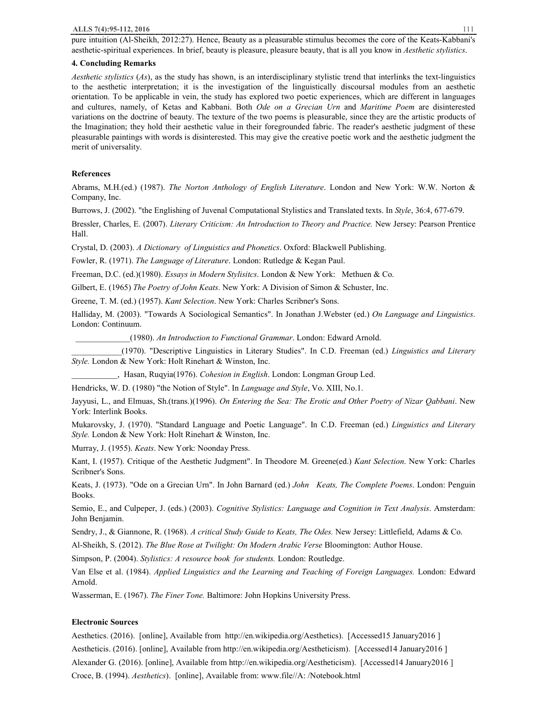#### **ALLS 7(4):95-112, 2016** 111

pure intuition (Al-Sheikh, 2012:27). Hence, Beauty as a pleasurable stimulus becomes the core of the Keats-Kabbani's aesthetic-spiritual experiences. In brief, beauty is pleasure, pleasure beauty, that is all you know in *Aesthetic stylistics*.

#### **4. Concluding Remarks**

*Aesthetic stylistics* (*As*), as the study has shown, is an interdisciplinary stylistic trend that interlinks the text-linguistics to the aesthetic interpretation; it is the investigation of the linguistically discoursal modules from an aesthetic orientation. To be applicable in vein, the study has explored two poetic experiences, which are different in languages and cultures, namely, of Ketas and Kabbani. Both *Ode on a Grecian Urn* and *Maritime Poem* are disinterested variations on the doctrine of beauty. The texture of the two poems is pleasurable, since they are the artistic products of the Imagination; they hold their aesthetic value in their foregrounded fabric. The reader's aesthetic judgment of these pleasurable paintings with words is disinterested. This may give the creative poetic work and the aesthetic judgment the merit of universality.

#### **References**

Abrams, M.H.(ed.) (1987). *The Norton Anthology of English Literature*. London and New York: W.W. Norton & Company, Inc.

Burrows, J. (2002). "the Englishing of Juvenal Computational Stylistics and Translated texts. In *Style*, 36:4, 677-679.

Bressler, Charles, E. (2007). *Literary Criticism: An Introduction to Theory and Practice.* New Jersey: Pearson Prentice Hall.

Crystal, D. (2003). *A Dictionary of Linguistics and Phonetics*. Oxford: Blackwell Publishing.

Fowler, R. (1971). *The Language of Literature*. London: Rutledge & Kegan Paul.

Freeman, D.C. (ed.)(1980). *Essays in Modern Stylisitcs*. London & New York: Methuen & Co.

Gilbert, E. (1965) *The Poetry of John Keats*. New York: A Division of Simon & Schuster, Inc.

Greene, T. M. (ed.) (1957). *Kant Selection*. New York: Charles Scribner's Sons.

Halliday, M. (2003). "Towards A Sociological Semantics". In Jonathan J.Webster (ed.) *On Language and Linguistics*. London: Continuum.

\_\_\_\_\_\_\_\_\_\_\_\_\_(1980). *An Introduction to Functional Grammar*. London: Edward Arnold.

\_\_\_\_\_\_\_\_\_\_\_\_(1970). "Descriptive Linguistics in Literary Studies". In C.D. Freeman (ed.) *Linguistics and Literary Style.* London & New York: Holt Rinehart & Winston, Inc.

\_\_\_\_\_\_\_\_\_\_\_, Hasan, Ruqyia(1976). *Cohesion in English*. London: Longman Group Led.

Hendricks, W. D. (1980) "the Notion of Style". In *Language and Style*, Vo. XIII, No.1.

Jayyusi, L., and Elmuas, Sh.(trans.)(1996). *On Entering the Sea: The Erotic and Other Poetry of Nizar Qabbani*. New York: Interlink Books.

Mukarovsky, J. (1970). "Standard Language and Poetic Language". In C.D. Freeman (ed.) *Linguistics and Literary Style.* London & New York: Holt Rinehart & Winston, Inc.

Murray, J. (1955). *Keats*. New York: Noonday Press.

Kant, I. (1957). Critique of the Aesthetic Judgment". In Theodore M. Greene(ed.) *Kant Selection*. New York: Charles Scribner's Sons.

Keats, J. (1973). "Ode on a Grecian Urn". In John Barnard (ed.) *John Keats, The Complete Poems*. London: Penguin Books.

Semio, E., and Culpeper, J. (eds.) (2003). *Cognitive Stylistics: Language and Cognition in Text Analysis*. Amsterdam: John Benjamin.

Sendry, J., & Giannone, R. (1968). *A critical Study Guide to Keats, The Odes.* New Jersey: Littlefield, Adams & Co.

Al-Sheikh, S. (2012). *The Blue Rose at Twilight: On Modern Arabic Verse* Bloomington: Author House.

Simpson, P. (2004). *Stylistics: A resource book for students.* London: Routledge.

Van Else et al. (1984). *Applied Linguistics and the Learning and Teaching of Foreign Languages.* London: Edward Arnold.

Wasserman, E. (1967). *The Finer Tone.* Baltimore: John Hopkins University Press.

#### **Electronic Sources**

Aesthetics. (2016). [online], Available from http://en.wikipedia.org/Aesthetics). [Accessed15 January2016 ] Aestheticis. (2016). [online], Available from http://en.wikipedia.org/Aestheticism). [Accessed14 January2016 ] Alexander G. (2016). [online], Available from http://en.wikipedia.org/Aestheticism). [Accessed14 January2016 ] Croce, B. (1994). *Aesthetics*). [online], Available from: www.file//A: /Notebook.html